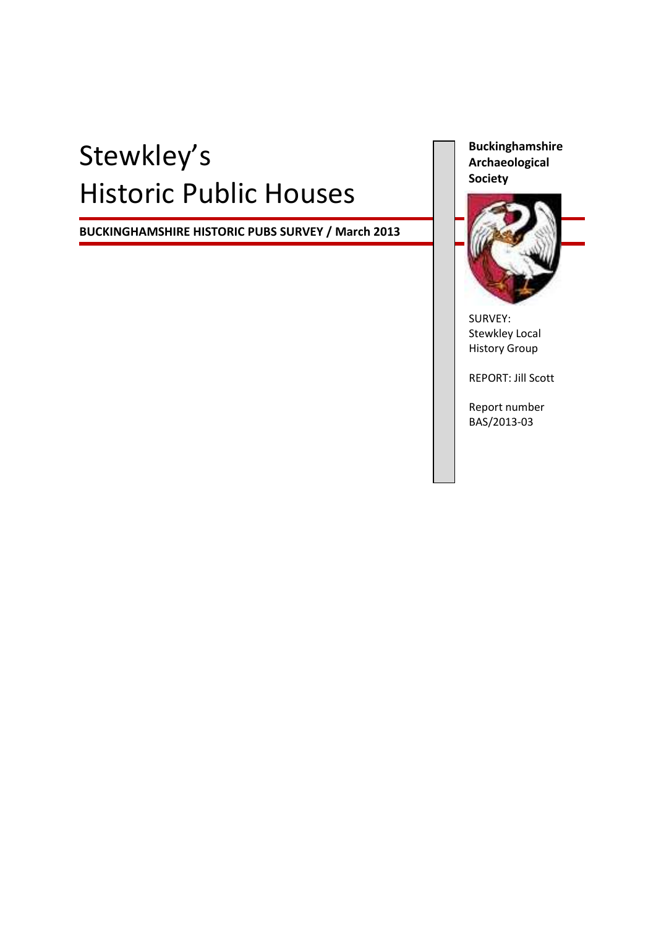# Stewkley's Historic Public Houses

**BUCKINGHAMSHIRE HISTORIC PUBS SURVEY / March 2013**

**Buckinghamshire Archaeological Society**



SURVEY: Stewkley Local History Group

REPORT: Jill Scott

Report number BAS/2013-03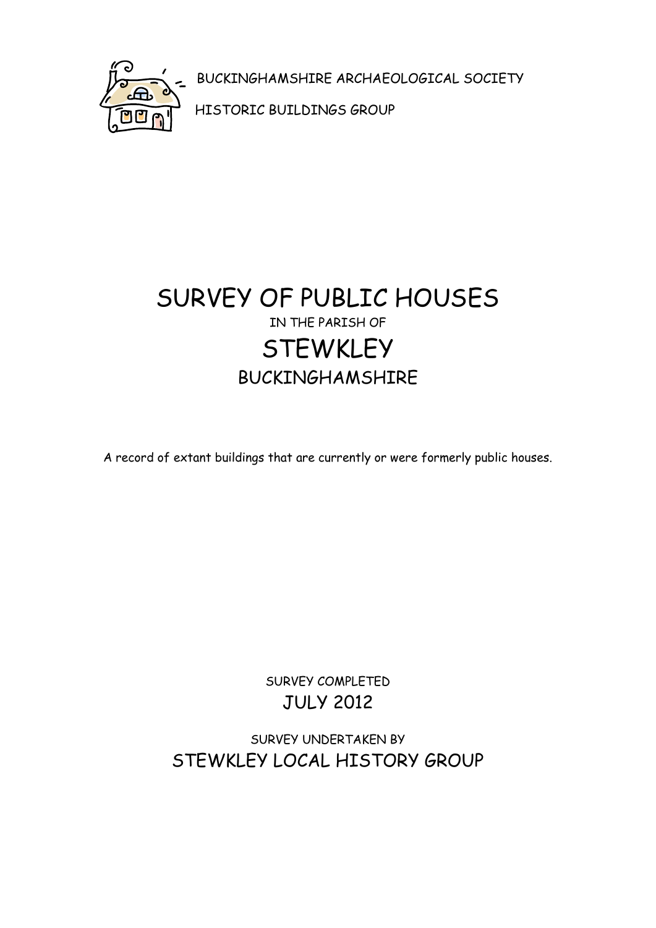

BUCKINGHAMSHIRE ARCHAEOLOGICAL SOCIETY

HISTORIC BUILDINGS GROUP

# SURVEY OF PUBLIC HOUSES IN THE PARISH OF **STEWKLEY** BUCKINGHAMSHIRE

A record of extant buildings that are currently or were formerly public houses.

SURVEY COMPLETED JULY 2012

SURVEY UNDERTAKEN BY STEWKLEY LOCAL HISTORY GROUP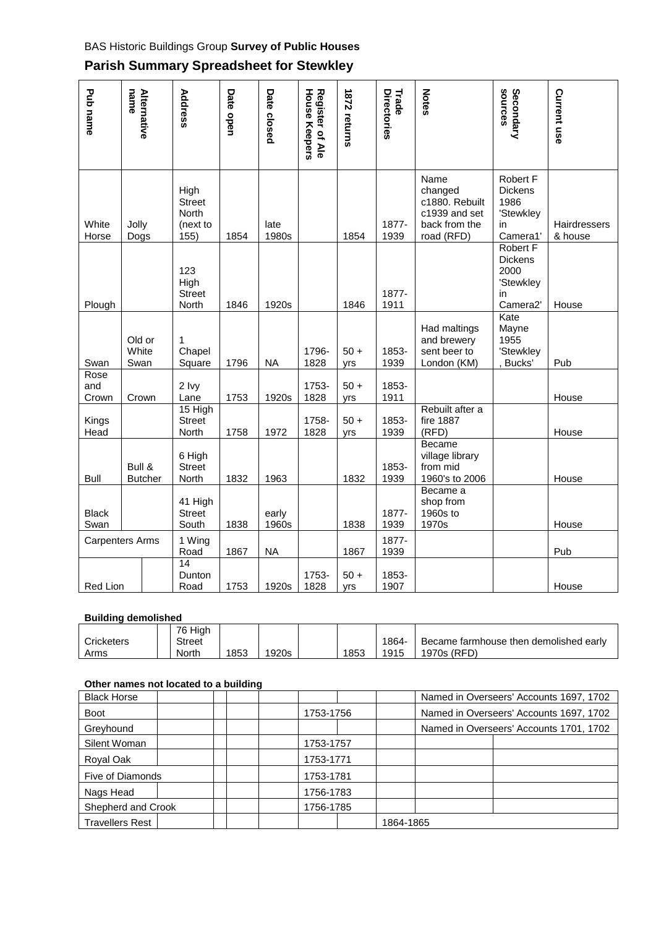#### BAS Historic Buildings Group **Survey of Public Houses**

| Pub name               | name<br>Alternative      | Address                                                   | Date open | Date closed    | <b>House Keepers</b><br>Register of Ale | <b>1872 returns</b> | Directories<br>Trade | <b>Notes</b>                                                                      | Secondary<br>sources                                                     | Current use                    |
|------------------------|--------------------------|-----------------------------------------------------------|-----------|----------------|-----------------------------------------|---------------------|----------------------|-----------------------------------------------------------------------------------|--------------------------------------------------------------------------|--------------------------------|
| White<br>Horse         | Jolly<br>Dogs            | High<br><b>Street</b><br><b>North</b><br>(next to<br>155) | 1854      | late<br>1980s  |                                         | 1854                | 1877-<br>1939        | Name<br>changed<br>c1880. Rebuilt<br>c1939 and set<br>back from the<br>road (RFD) | Robert F<br><b>Dickens</b><br>1986<br>'Stewkley<br>in<br>Camera1         | <b>Hairdressers</b><br>& house |
| Plough                 |                          | 123<br>High<br><b>Street</b><br>North                     | 1846      | 1920s          |                                         | 1846                | 1877-<br>1911        |                                                                                   | <b>Robert F</b><br><b>Dickens</b><br>2000<br>'Stewkley<br>in<br>Camera2' | House                          |
| Swan                   | Old or<br>White<br>Swan  | 1<br>Chapel<br>Square                                     | 1796      | <b>NA</b>      | 1796-<br>1828                           | $50+$<br>yrs        | 1853-<br>1939        | Had maltings<br>and brewery<br>sent beer to<br>London (KM)                        | Kate<br>Mayne<br>1955<br>'Stewkley<br>Bucks'                             | Pub                            |
| Rose<br>and<br>Crown   | Crown                    | 2 lvy<br>Lane                                             | 1753      | 1920s          | 1753-<br>1828                           | $50 +$<br>yrs       | 1853-<br>1911        |                                                                                   |                                                                          | House                          |
| Kings<br>Head          |                          | $15$ High<br><b>Street</b><br>North                       | 1758      | 1972           | 1758-<br>1828                           | $50+$<br>yrs        | 1853-<br>1939        | Rebuilt after a<br>fire 1887<br>(RFD)                                             |                                                                          | House                          |
| <b>Bull</b>            | Bull &<br><b>Butcher</b> | 6 High<br><b>Street</b><br>North                          | 1832      | 1963           |                                         | 1832                | 1853-<br>1939        | Became<br>village library<br>from mid<br>1960's to 2006                           |                                                                          | House                          |
| <b>Black</b><br>Swan   |                          | 41 High<br><b>Street</b><br>South                         | 1838      | early<br>1960s |                                         | 1838                | 1877-<br>1939        | Became a<br>shop from<br>1960s to<br>1970s                                        |                                                                          | House                          |
| <b>Carpenters Arms</b> |                          | 1 Wing<br>Road                                            | 1867      | <b>NA</b>      |                                         | 1867                | 1877-<br>1939        |                                                                                   |                                                                          | Pub                            |
| Red Lion               |                          | 14<br>Dunton<br>Road                                      | 1753      | 1920s          | 1753-<br>1828                           | $50 +$<br>yrs       | 1853-<br>1907        |                                                                                   |                                                                          | House                          |

#### **Parish Summary Spreadsheet for Stewkley**

#### **Building demolished**

|                   | 76 Hiah       |     |       |      |       |                                        |
|-------------------|---------------|-----|-------|------|-------|----------------------------------------|
| <b>Cricketers</b> | <b>Street</b> |     |       |      | 1864- | Became farmhouse then demolished early |
| Arms              | North         | 853 | 1920s | 1853 | 1915  | 1970s (RFD)                            |

#### **Other names not located to a building**

| <u>Utiler Hames Nut lucated to a building</u> |  |           |           |  |                                         |  |
|-----------------------------------------------|--|-----------|-----------|--|-----------------------------------------|--|
| <b>Black Horse</b>                            |  |           |           |  | Named in Overseers' Accounts 1697, 1702 |  |
| <b>Boot</b>                                   |  |           | 1753-1756 |  | Named in Overseers' Accounts 1697, 1702 |  |
| Greyhound                                     |  |           |           |  | Named in Overseers' Accounts 1701, 1702 |  |
| Silent Woman                                  |  |           | 1753-1757 |  |                                         |  |
| Royal Oak                                     |  |           | 1753-1771 |  |                                         |  |
| Five of Diamonds                              |  |           | 1753-1781 |  |                                         |  |
| Nags Head                                     |  |           | 1756-1783 |  |                                         |  |
| Shepherd and Crook                            |  | 1756-1785 |           |  |                                         |  |
| <b>Travellers Rest</b>                        |  |           |           |  | 1864-1865                               |  |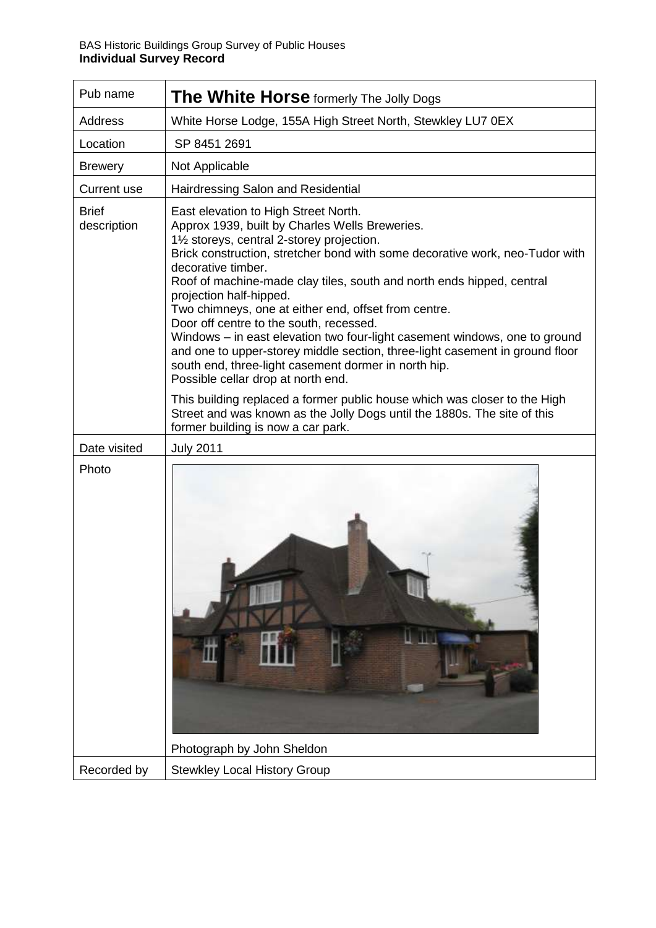| Pub name                    | <b>The White Horse</b> formerly The Jolly Dogs                                                                                                                                                                                                                                                                                                                                                                                                                                                                                                                                                                                                                                                                |
|-----------------------------|---------------------------------------------------------------------------------------------------------------------------------------------------------------------------------------------------------------------------------------------------------------------------------------------------------------------------------------------------------------------------------------------------------------------------------------------------------------------------------------------------------------------------------------------------------------------------------------------------------------------------------------------------------------------------------------------------------------|
| Address                     | White Horse Lodge, 155A High Street North, Stewkley LU7 0EX                                                                                                                                                                                                                                                                                                                                                                                                                                                                                                                                                                                                                                                   |
| Location                    | SP 8451 2691                                                                                                                                                                                                                                                                                                                                                                                                                                                                                                                                                                                                                                                                                                  |
| <b>Brewery</b>              | Not Applicable                                                                                                                                                                                                                                                                                                                                                                                                                                                                                                                                                                                                                                                                                                |
| <b>Current use</b>          | Hairdressing Salon and Residential                                                                                                                                                                                                                                                                                                                                                                                                                                                                                                                                                                                                                                                                            |
| <b>Brief</b><br>description | East elevation to High Street North.<br>Approx 1939, built by Charles Wells Breweries.<br>11/2 storeys, central 2-storey projection.<br>Brick construction, stretcher bond with some decorative work, neo-Tudor with<br>decorative timber.<br>Roof of machine-made clay tiles, south and north ends hipped, central<br>projection half-hipped.<br>Two chimneys, one at either end, offset from centre.<br>Door off centre to the south, recessed.<br>Windows – in east elevation two four-light casement windows, one to ground<br>and one to upper-storey middle section, three-light casement in ground floor<br>south end, three-light casement dormer in north hip.<br>Possible cellar drop at north end. |
|                             | This building replaced a former public house which was closer to the High<br>Street and was known as the Jolly Dogs until the 1880s. The site of this<br>former building is now a car park.                                                                                                                                                                                                                                                                                                                                                                                                                                                                                                                   |
| Date visited                | <b>July 2011</b>                                                                                                                                                                                                                                                                                                                                                                                                                                                                                                                                                                                                                                                                                              |
| Photo                       |                                                                                                                                                                                                                                                                                                                                                                                                                                                                                                                                                                                                                                                                                                               |
|                             | Photograph by John Sheldon                                                                                                                                                                                                                                                                                                                                                                                                                                                                                                                                                                                                                                                                                    |
| Recorded by                 | <b>Stewkley Local History Group</b>                                                                                                                                                                                                                                                                                                                                                                                                                                                                                                                                                                                                                                                                           |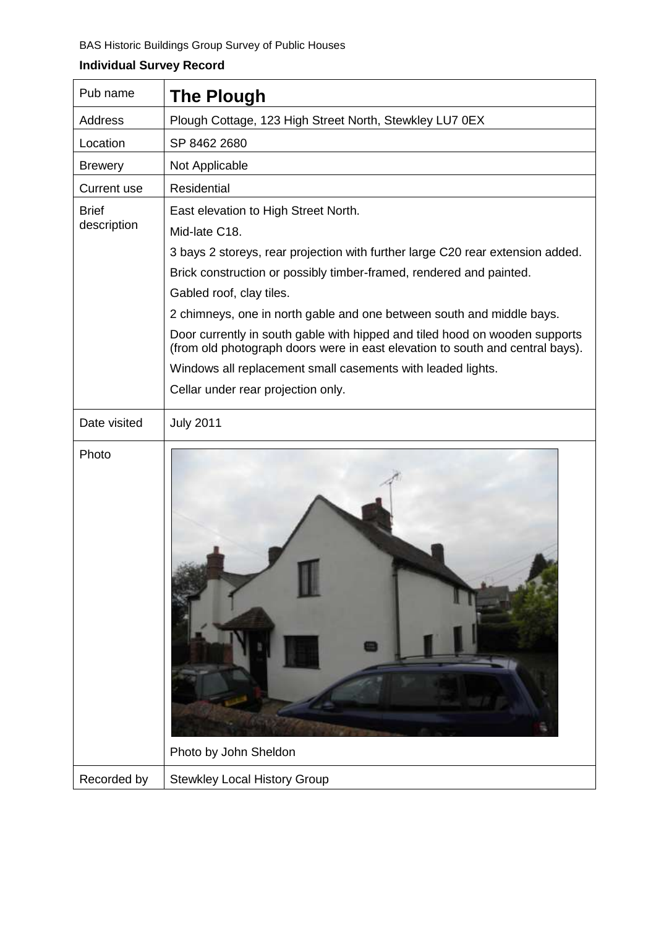| Pub name                    | <b>The Plough</b>                                                                                                                                                                                                                                                                                                                                                                                                                                                                                                                                                                        |
|-----------------------------|------------------------------------------------------------------------------------------------------------------------------------------------------------------------------------------------------------------------------------------------------------------------------------------------------------------------------------------------------------------------------------------------------------------------------------------------------------------------------------------------------------------------------------------------------------------------------------------|
| Address                     | Plough Cottage, 123 High Street North, Stewkley LU7 0EX                                                                                                                                                                                                                                                                                                                                                                                                                                                                                                                                  |
| Location                    | SP 8462 2680                                                                                                                                                                                                                                                                                                                                                                                                                                                                                                                                                                             |
| <b>Brewery</b>              | Not Applicable                                                                                                                                                                                                                                                                                                                                                                                                                                                                                                                                                                           |
| <b>Current use</b>          | <b>Residential</b>                                                                                                                                                                                                                                                                                                                                                                                                                                                                                                                                                                       |
| <b>Brief</b><br>description | East elevation to High Street North.<br>Mid-late C18.<br>3 bays 2 storeys, rear projection with further large C20 rear extension added.<br>Brick construction or possibly timber-framed, rendered and painted.<br>Gabled roof, clay tiles.<br>2 chimneys, one in north gable and one between south and middle bays.<br>Door currently in south gable with hipped and tiled hood on wooden supports<br>(from old photograph doors were in east elevation to south and central bays).<br>Windows all replacement small casements with leaded lights.<br>Cellar under rear projection only. |
| Date visited                | <b>July 2011</b>                                                                                                                                                                                                                                                                                                                                                                                                                                                                                                                                                                         |
| Photo                       | Photo by John Sheldon                                                                                                                                                                                                                                                                                                                                                                                                                                                                                                                                                                    |
| Recorded by                 | <b>Stewkley Local History Group</b>                                                                                                                                                                                                                                                                                                                                                                                                                                                                                                                                                      |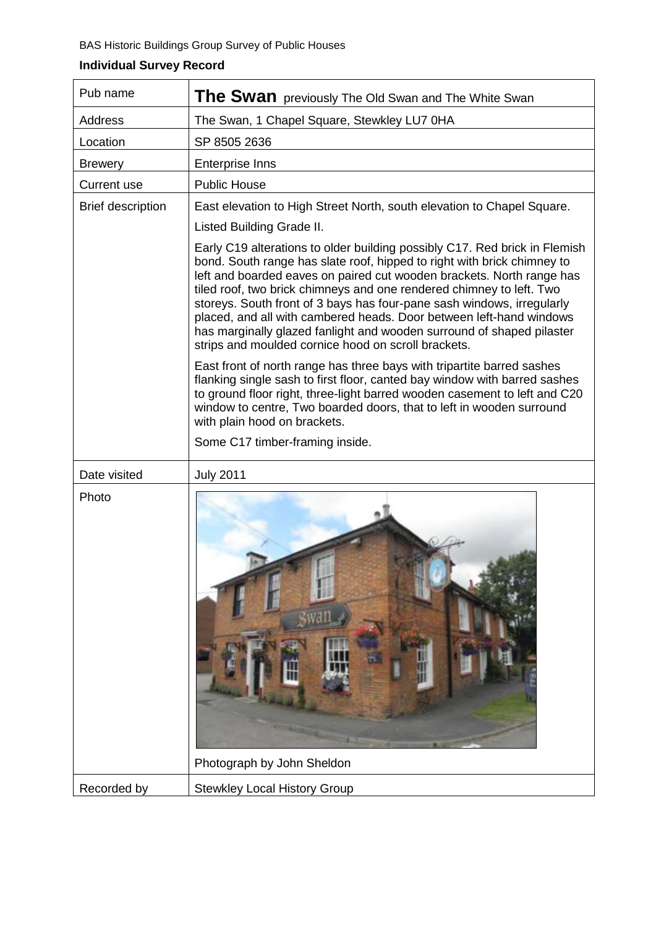| Pub name                 | The Swan previously The Old Swan and The White Swan                                                                                                                                                                                                                                                                                                                                                                                                                                                                                                                                     |
|--------------------------|-----------------------------------------------------------------------------------------------------------------------------------------------------------------------------------------------------------------------------------------------------------------------------------------------------------------------------------------------------------------------------------------------------------------------------------------------------------------------------------------------------------------------------------------------------------------------------------------|
| Address                  | The Swan, 1 Chapel Square, Stewkley LU7 0HA                                                                                                                                                                                                                                                                                                                                                                                                                                                                                                                                             |
| Location                 | SP 8505 2636                                                                                                                                                                                                                                                                                                                                                                                                                                                                                                                                                                            |
| <b>Brewery</b>           | <b>Enterprise Inns</b>                                                                                                                                                                                                                                                                                                                                                                                                                                                                                                                                                                  |
| <b>Current use</b>       | <b>Public House</b>                                                                                                                                                                                                                                                                                                                                                                                                                                                                                                                                                                     |
| <b>Brief description</b> | East elevation to High Street North, south elevation to Chapel Square.                                                                                                                                                                                                                                                                                                                                                                                                                                                                                                                  |
|                          | Listed Building Grade II.                                                                                                                                                                                                                                                                                                                                                                                                                                                                                                                                                               |
|                          | Early C19 alterations to older building possibly C17. Red brick in Flemish<br>bond. South range has slate roof, hipped to right with brick chimney to<br>left and boarded eaves on paired cut wooden brackets. North range has<br>tiled roof, two brick chimneys and one rendered chimney to left. Two<br>storeys. South front of 3 bays has four-pane sash windows, irregularly<br>placed, and all with cambered heads. Door between left-hand windows<br>has marginally glazed fanlight and wooden surround of shaped pilaster<br>strips and moulded cornice hood on scroll brackets. |
|                          | East front of north range has three bays with tripartite barred sashes<br>flanking single sash to first floor, canted bay window with barred sashes<br>to ground floor right, three-light barred wooden casement to left and C20<br>window to centre, Two boarded doors, that to left in wooden surround<br>with plain hood on brackets.                                                                                                                                                                                                                                                |
|                          | Some C17 timber-framing inside.                                                                                                                                                                                                                                                                                                                                                                                                                                                                                                                                                         |
| Date visited             | <b>July 2011</b>                                                                                                                                                                                                                                                                                                                                                                                                                                                                                                                                                                        |
| Photo                    |                                                                                                                                                                                                                                                                                                                                                                                                                                                                                                                                                                                         |
|                          | Photograph by John Sheldon                                                                                                                                                                                                                                                                                                                                                                                                                                                                                                                                                              |
| Recorded by              | <b>Stewkley Local History Group</b>                                                                                                                                                                                                                                                                                                                                                                                                                                                                                                                                                     |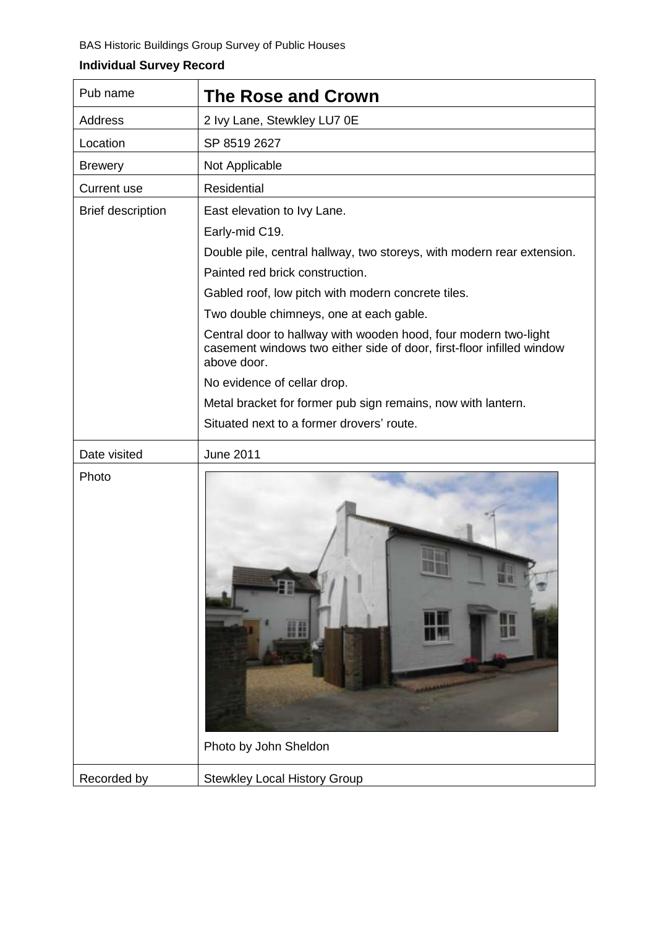| Pub name                 | <b>The Rose and Crown</b>                                                                                                                                                                                                                                                                                                                                                                                                                                                                                                                                          |
|--------------------------|--------------------------------------------------------------------------------------------------------------------------------------------------------------------------------------------------------------------------------------------------------------------------------------------------------------------------------------------------------------------------------------------------------------------------------------------------------------------------------------------------------------------------------------------------------------------|
| <b>Address</b>           | 2 Ivy Lane, Stewkley LU7 0E                                                                                                                                                                                                                                                                                                                                                                                                                                                                                                                                        |
| Location                 | SP 8519 2627                                                                                                                                                                                                                                                                                                                                                                                                                                                                                                                                                       |
| <b>Brewery</b>           | Not Applicable                                                                                                                                                                                                                                                                                                                                                                                                                                                                                                                                                     |
| <b>Current use</b>       | Residential                                                                                                                                                                                                                                                                                                                                                                                                                                                                                                                                                        |
| <b>Brief description</b> | East elevation to Ivy Lane.<br>Early-mid C19.<br>Double pile, central hallway, two storeys, with modern rear extension.<br>Painted red brick construction.<br>Gabled roof, low pitch with modern concrete tiles.<br>Two double chimneys, one at each gable.<br>Central door to hallway with wooden hood, four modern two-light<br>casement windows two either side of door, first-floor infilled window<br>above door.<br>No evidence of cellar drop.<br>Metal bracket for former pub sign remains, now with lantern.<br>Situated next to a former drovers' route. |
| Date visited             | <b>June 2011</b>                                                                                                                                                                                                                                                                                                                                                                                                                                                                                                                                                   |
| Photo                    | Photo by John Sheldon                                                                                                                                                                                                                                                                                                                                                                                                                                                                                                                                              |
| Recorded by              | <b>Stewkley Local History Group</b>                                                                                                                                                                                                                                                                                                                                                                                                                                                                                                                                |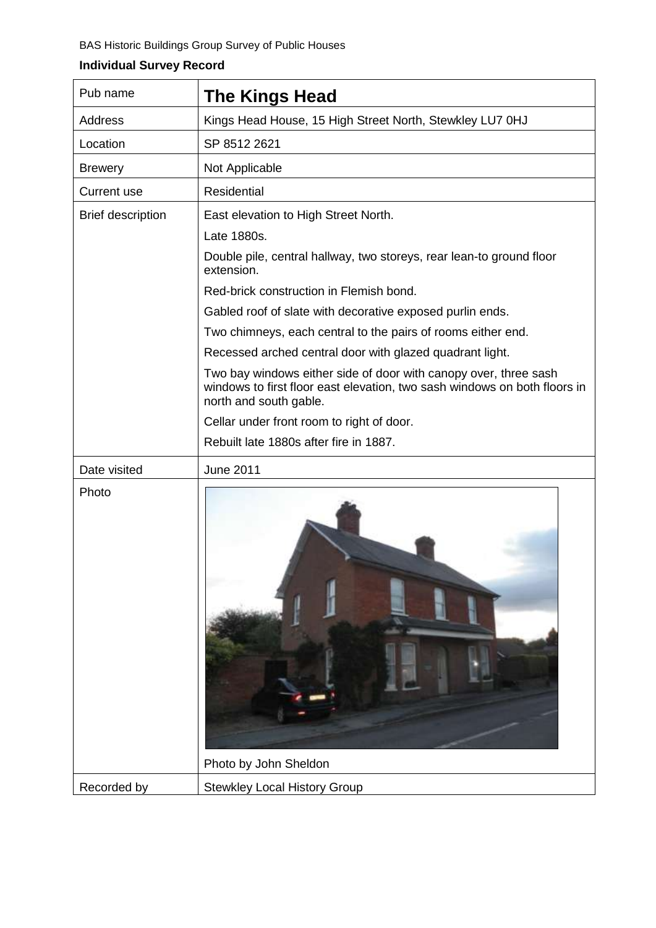| Pub name                 | <b>The Kings Head</b>                                                                                                                                                   |
|--------------------------|-------------------------------------------------------------------------------------------------------------------------------------------------------------------------|
| Address                  | Kings Head House, 15 High Street North, Stewkley LU7 0HJ                                                                                                                |
| Location                 | SP 8512 2621                                                                                                                                                            |
| <b>Brewery</b>           | Not Applicable                                                                                                                                                          |
| <b>Current use</b>       | Residential                                                                                                                                                             |
| <b>Brief description</b> | East elevation to High Street North.                                                                                                                                    |
|                          | Late 1880s.                                                                                                                                                             |
|                          | Double pile, central hallway, two storeys, rear lean-to ground floor<br>extension.                                                                                      |
|                          | Red-brick construction in Flemish bond.                                                                                                                                 |
|                          | Gabled roof of slate with decorative exposed purlin ends.                                                                                                               |
|                          | Two chimneys, each central to the pairs of rooms either end.                                                                                                            |
|                          | Recessed arched central door with glazed quadrant light.                                                                                                                |
|                          | Two bay windows either side of door with canopy over, three sash<br>windows to first floor east elevation, two sash windows on both floors in<br>north and south gable. |
|                          | Cellar under front room to right of door.                                                                                                                               |
|                          | Rebuilt late 1880s after fire in 1887.                                                                                                                                  |
| Date visited             | <b>June 2011</b>                                                                                                                                                        |
| Photo                    |                                                                                                                                                                         |
|                          | Photo by John Sheldon                                                                                                                                                   |
| Recorded by              | <b>Stewkley Local History Group</b>                                                                                                                                     |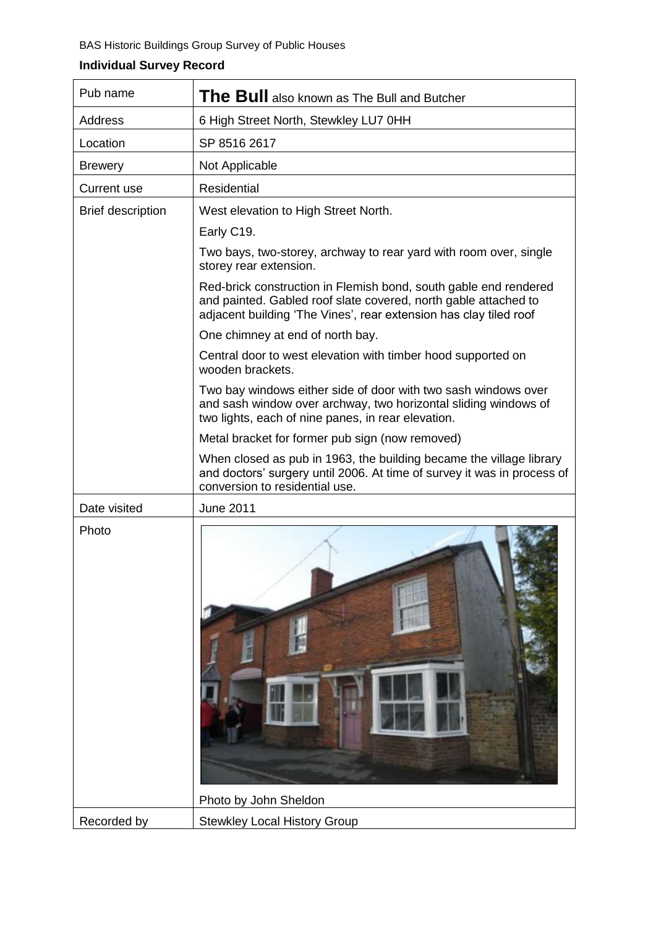#### BAS Historic Buildings Group Survey of Public Houses

| <b>Address</b><br>6 High Street North, Stewkley LU7 0HH<br>SP 8516 2617<br>Location<br>Not Applicable<br><b>Brewery</b><br><b>Residential</b><br>Current use<br><b>Brief description</b><br>West elevation to High Street North.<br>Early C19.<br>Two bays, two-storey, archway to rear yard with room over, single<br>storey rear extension.<br>Red-brick construction in Flemish bond, south gable end rendered<br>and painted. Gabled roof slate covered, north gable attached to<br>adjacent building 'The Vines', rear extension has clay tiled roof<br>One chimney at end of north bay.<br>Central door to west elevation with timber hood supported on<br>wooden brackets.<br>Two bay windows either side of door with two sash windows over<br>and sash window over archway, two horizontal sliding windows of<br>two lights, each of nine panes, in rear elevation.<br>Metal bracket for former pub sign (now removed)<br>When closed as pub in 1963, the building became the village library<br>and doctors' surgery until 2006. At time of survey it was in process of<br>conversion to residential use.<br>Date visited<br><b>June 2011</b><br>Photo | Pub name | The Bull also known as The Bull and Butcher |
|------------------------------------------------------------------------------------------------------------------------------------------------------------------------------------------------------------------------------------------------------------------------------------------------------------------------------------------------------------------------------------------------------------------------------------------------------------------------------------------------------------------------------------------------------------------------------------------------------------------------------------------------------------------------------------------------------------------------------------------------------------------------------------------------------------------------------------------------------------------------------------------------------------------------------------------------------------------------------------------------------------------------------------------------------------------------------------------------------------------------------------------------------------------|----------|---------------------------------------------|
|                                                                                                                                                                                                                                                                                                                                                                                                                                                                                                                                                                                                                                                                                                                                                                                                                                                                                                                                                                                                                                                                                                                                                                  |          |                                             |
|                                                                                                                                                                                                                                                                                                                                                                                                                                                                                                                                                                                                                                                                                                                                                                                                                                                                                                                                                                                                                                                                                                                                                                  |          |                                             |
|                                                                                                                                                                                                                                                                                                                                                                                                                                                                                                                                                                                                                                                                                                                                                                                                                                                                                                                                                                                                                                                                                                                                                                  |          |                                             |
|                                                                                                                                                                                                                                                                                                                                                                                                                                                                                                                                                                                                                                                                                                                                                                                                                                                                                                                                                                                                                                                                                                                                                                  |          |                                             |
|                                                                                                                                                                                                                                                                                                                                                                                                                                                                                                                                                                                                                                                                                                                                                                                                                                                                                                                                                                                                                                                                                                                                                                  |          |                                             |
|                                                                                                                                                                                                                                                                                                                                                                                                                                                                                                                                                                                                                                                                                                                                                                                                                                                                                                                                                                                                                                                                                                                                                                  |          |                                             |
|                                                                                                                                                                                                                                                                                                                                                                                                                                                                                                                                                                                                                                                                                                                                                                                                                                                                                                                                                                                                                                                                                                                                                                  |          |                                             |
|                                                                                                                                                                                                                                                                                                                                                                                                                                                                                                                                                                                                                                                                                                                                                                                                                                                                                                                                                                                                                                                                                                                                                                  |          |                                             |
|                                                                                                                                                                                                                                                                                                                                                                                                                                                                                                                                                                                                                                                                                                                                                                                                                                                                                                                                                                                                                                                                                                                                                                  |          |                                             |
|                                                                                                                                                                                                                                                                                                                                                                                                                                                                                                                                                                                                                                                                                                                                                                                                                                                                                                                                                                                                                                                                                                                                                                  |          |                                             |
|                                                                                                                                                                                                                                                                                                                                                                                                                                                                                                                                                                                                                                                                                                                                                                                                                                                                                                                                                                                                                                                                                                                                                                  |          |                                             |
|                                                                                                                                                                                                                                                                                                                                                                                                                                                                                                                                                                                                                                                                                                                                                                                                                                                                                                                                                                                                                                                                                                                                                                  |          |                                             |
|                                                                                                                                                                                                                                                                                                                                                                                                                                                                                                                                                                                                                                                                                                                                                                                                                                                                                                                                                                                                                                                                                                                                                                  |          |                                             |
|                                                                                                                                                                                                                                                                                                                                                                                                                                                                                                                                                                                                                                                                                                                                                                                                                                                                                                                                                                                                                                                                                                                                                                  |          |                                             |
|                                                                                                                                                                                                                                                                                                                                                                                                                                                                                                                                                                                                                                                                                                                                                                                                                                                                                                                                                                                                                                                                                                                                                                  |          |                                             |
| Photo by John Sheldon<br>Recorded by<br><b>Stewkley Local History Group</b>                                                                                                                                                                                                                                                                                                                                                                                                                                                                                                                                                                                                                                                                                                                                                                                                                                                                                                                                                                                                                                                                                      |          |                                             |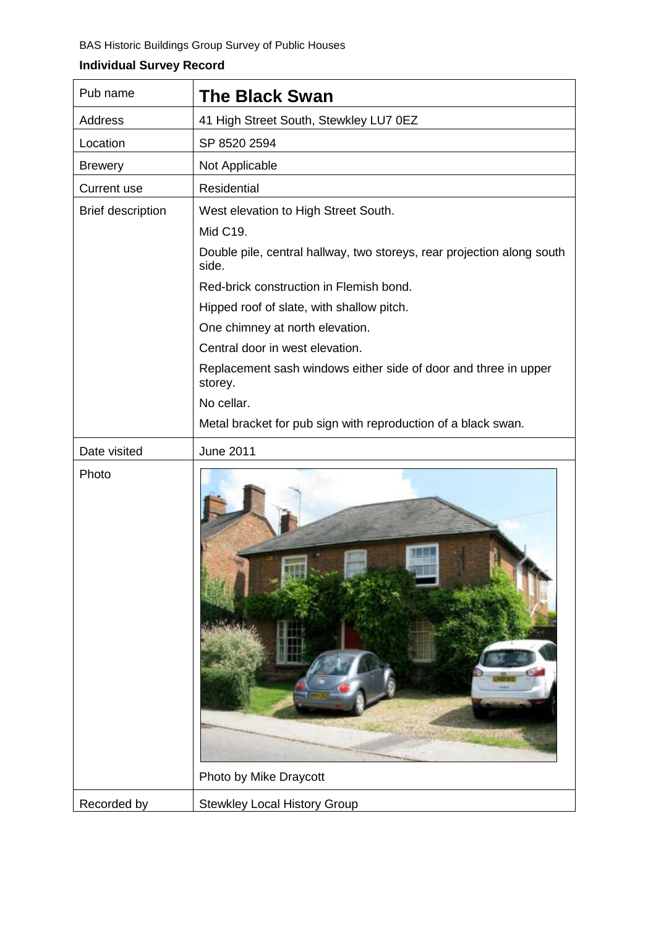| Pub name                 | <b>The Black Swan</b>                                                           |
|--------------------------|---------------------------------------------------------------------------------|
| <b>Address</b>           | 41 High Street South, Stewkley LU7 0EZ                                          |
| Location                 | SP 8520 2594                                                                    |
| <b>Brewery</b>           | Not Applicable                                                                  |
| <b>Current use</b>       | Residential                                                                     |
| <b>Brief description</b> | West elevation to High Street South.                                            |
|                          | Mid C19.                                                                        |
|                          | Double pile, central hallway, two storeys, rear projection along south<br>side. |
|                          | Red-brick construction in Flemish bond.                                         |
|                          | Hipped roof of slate, with shallow pitch.                                       |
|                          | One chimney at north elevation.                                                 |
|                          | Central door in west elevation.                                                 |
|                          | Replacement sash windows either side of door and three in upper<br>storey.      |
|                          | No cellar.                                                                      |
|                          | Metal bracket for pub sign with reproduction of a black swan.                   |
| Date visited             | <b>June 2011</b>                                                                |
| Photo                    | Photo by Mike Draycott                                                          |
| Recorded by              | <b>Stewkley Local History Group</b>                                             |
|                          |                                                                                 |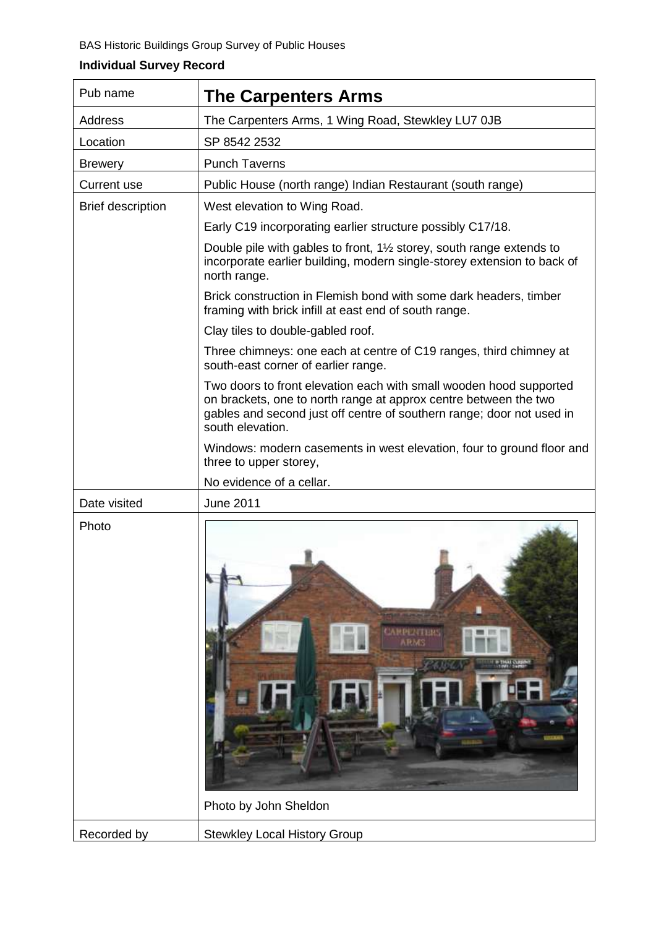| Pub name                 | <b>The Carpenters Arms</b>                                                                                                                                                                                                          |
|--------------------------|-------------------------------------------------------------------------------------------------------------------------------------------------------------------------------------------------------------------------------------|
| Address                  | The Carpenters Arms, 1 Wing Road, Stewkley LU7 0JB                                                                                                                                                                                  |
| Location                 | SP 8542 2532                                                                                                                                                                                                                        |
| <b>Brewery</b>           | <b>Punch Taverns</b>                                                                                                                                                                                                                |
| <b>Current use</b>       | Public House (north range) Indian Restaurant (south range)                                                                                                                                                                          |
| <b>Brief description</b> | West elevation to Wing Road.                                                                                                                                                                                                        |
|                          | Early C19 incorporating earlier structure possibly C17/18.                                                                                                                                                                          |
|                          | Double pile with gables to front, $1\frac{1}{2}$ storey, south range extends to<br>incorporate earlier building, modern single-storey extension to back of<br>north range.                                                          |
|                          | Brick construction in Flemish bond with some dark headers, timber<br>framing with brick infill at east end of south range.                                                                                                          |
|                          | Clay tiles to double-gabled roof.                                                                                                                                                                                                   |
|                          | Three chimneys: one each at centre of C19 ranges, third chimney at<br>south-east corner of earlier range.                                                                                                                           |
|                          | Two doors to front elevation each with small wooden hood supported<br>on brackets, one to north range at approx centre between the two<br>gables and second just off centre of southern range; door not used in<br>south elevation. |
|                          | Windows: modern casements in west elevation, four to ground floor and<br>three to upper storey,                                                                                                                                     |
|                          | No evidence of a cellar.                                                                                                                                                                                                            |
| Date visited             | <b>June 2011</b>                                                                                                                                                                                                                    |
| Photo                    | <b>PEATING</b><br>A.R.MA<br>Photo by John Sheldon                                                                                                                                                                                   |
| Recorded by              | <b>Stewkley Local History Group</b>                                                                                                                                                                                                 |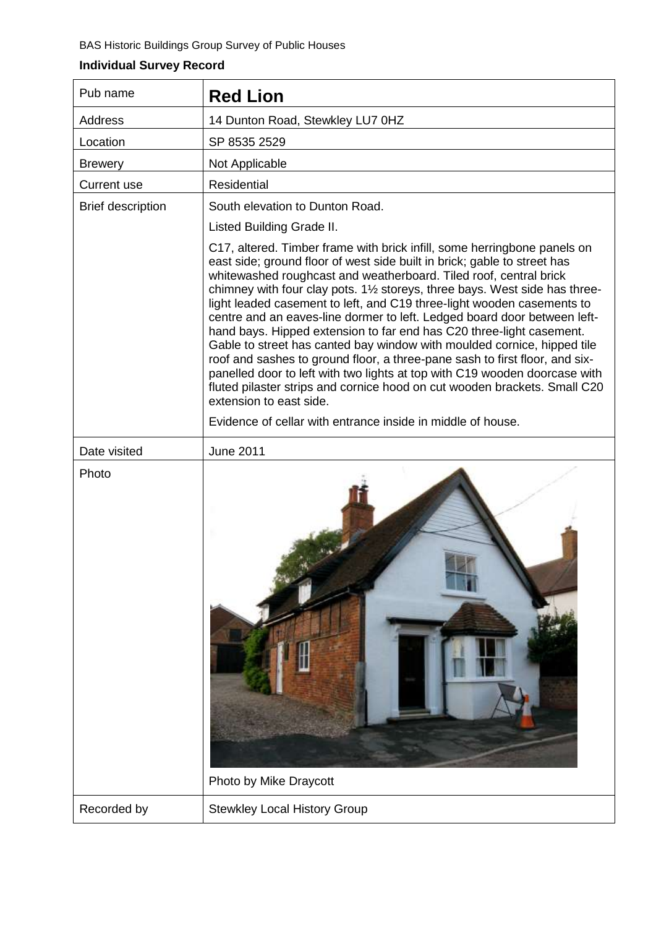| Pub name                 | <b>Red Lion</b>                                                                                                                                                                                                                                                                                                                                                                                                                                                                                                                                                                                                                                                                                                                                                                                                                                                                                    |
|--------------------------|----------------------------------------------------------------------------------------------------------------------------------------------------------------------------------------------------------------------------------------------------------------------------------------------------------------------------------------------------------------------------------------------------------------------------------------------------------------------------------------------------------------------------------------------------------------------------------------------------------------------------------------------------------------------------------------------------------------------------------------------------------------------------------------------------------------------------------------------------------------------------------------------------|
| Address                  | 14 Dunton Road, Stewkley LU7 0HZ                                                                                                                                                                                                                                                                                                                                                                                                                                                                                                                                                                                                                                                                                                                                                                                                                                                                   |
| Location                 | SP 8535 2529                                                                                                                                                                                                                                                                                                                                                                                                                                                                                                                                                                                                                                                                                                                                                                                                                                                                                       |
| <b>Brewery</b>           | Not Applicable                                                                                                                                                                                                                                                                                                                                                                                                                                                                                                                                                                                                                                                                                                                                                                                                                                                                                     |
| <b>Current use</b>       | <b>Residential</b>                                                                                                                                                                                                                                                                                                                                                                                                                                                                                                                                                                                                                                                                                                                                                                                                                                                                                 |
| <b>Brief description</b> | South elevation to Dunton Road.                                                                                                                                                                                                                                                                                                                                                                                                                                                                                                                                                                                                                                                                                                                                                                                                                                                                    |
|                          | Listed Building Grade II.                                                                                                                                                                                                                                                                                                                                                                                                                                                                                                                                                                                                                                                                                                                                                                                                                                                                          |
|                          | C17, altered. Timber frame with brick infill, some herringbone panels on<br>east side; ground floor of west side built in brick; gable to street has<br>whitewashed roughcast and weatherboard. Tiled roof, central brick<br>chimney with four clay pots. 1 <sup>1/2</sup> storeys, three bays. West side has three-<br>light leaded casement to left, and C19 three-light wooden casements to<br>centre and an eaves-line dormer to left. Ledged board door between left-<br>hand bays. Hipped extension to far end has C20 three-light casement.<br>Gable to street has canted bay window with moulded cornice, hipped tile<br>roof and sashes to ground floor, a three-pane sash to first floor, and six-<br>panelled door to left with two lights at top with C19 wooden doorcase with<br>fluted pilaster strips and cornice hood on cut wooden brackets. Small C20<br>extension to east side. |
|                          | Evidence of cellar with entrance inside in middle of house.                                                                                                                                                                                                                                                                                                                                                                                                                                                                                                                                                                                                                                                                                                                                                                                                                                        |
| Date visited             | <b>June 2011</b>                                                                                                                                                                                                                                                                                                                                                                                                                                                                                                                                                                                                                                                                                                                                                                                                                                                                                   |
| Photo                    | Photo by Mike Draycott                                                                                                                                                                                                                                                                                                                                                                                                                                                                                                                                                                                                                                                                                                                                                                                                                                                                             |
| Recorded by              | <b>Stewkley Local History Group</b>                                                                                                                                                                                                                                                                                                                                                                                                                                                                                                                                                                                                                                                                                                                                                                                                                                                                |
|                          |                                                                                                                                                                                                                                                                                                                                                                                                                                                                                                                                                                                                                                                                                                                                                                                                                                                                                                    |